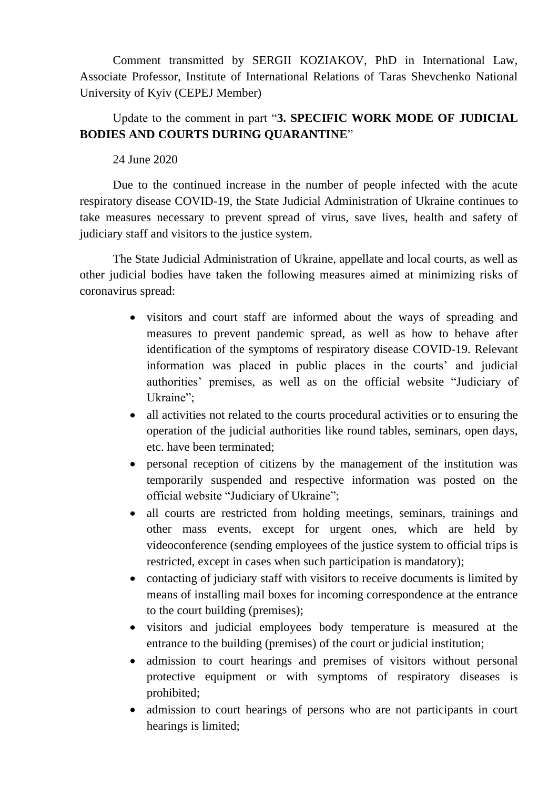Comment transmitted by SERGII KOZIAKOV, PhD in International Law, Associate Professor, Institute of International Relations of Taras Shevchenko National University of Kyiv (CEPEJ Member)

## Update to the comment in part "**3. SPECIFIC WORK MODE OF JUDICIAL BODIES AND COURTS DURING QUARANTINE**"

24 June 2020

Due to the continued increase in the number of people infected with the acute respiratory disease COVID-19, the State Judicial Administration of Ukraine continues to take measures necessary to prevent spread of virus, save lives, health and safety of judiciary staff and visitors to the justice system.

The State Judicial Administration of Ukraine, appellate and local courts, as well as other judicial bodies have taken the following measures aimed at minimizing risks of coronavirus spread:

- visitors and court staff are informed about the ways of spreading and measures to prevent pandemic spread, as well as how to behave after identification of the symptoms of respiratory disease COVID-19. Relevant information was placed in public places in the courts' and judicial authorities' premises, as well as on the official website "Judiciary of Ukraine";
- all activities not related to the courts procedural activities or to ensuring the operation of the judicial authorities like round tables, seminars, open days, etc. have been terminated;
- personal reception of citizens by the management of the institution was temporarily suspended and respective information was posted on the official website "Judiciary of Ukraine";
- all courts are restricted from holding meetings, seminars, trainings and other mass events, except for urgent ones, which are held by videoconference (sending employees of the justice system to official trips is restricted, except in cases when such participation is mandatory);
- contacting of judiciary staff with visitors to receive documents is limited by means of installing mail boxes for incoming correspondence at the entrance to the court building (premises);
- visitors and judicial employees body temperature is measured at the entrance to the building (premises) of the court or judicial institution;
- admission to court hearings and premises of visitors without personal protective equipment or with symptoms of respiratory diseases is prohibited;
- admission to court hearings of persons who are not participants in court hearings is limited;